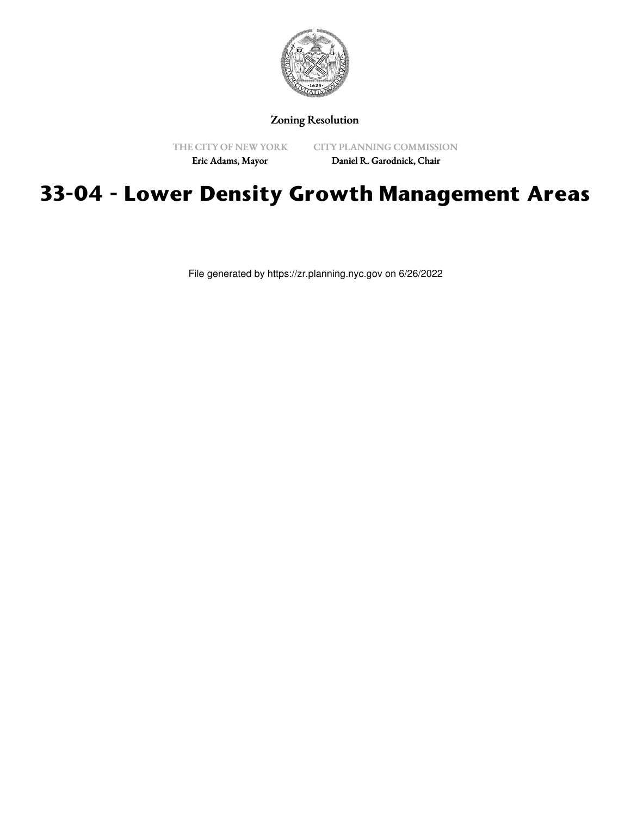

## Zoning Resolution

THE CITY OF NEW YORK

CITY PLANNING COMMISSION

Eric Adams, Mayor

Daniel R. Garodnick, Chair

## **33-04 - Lower Density Growth Management Areas**

File generated by https://zr.planning.nyc.gov on 6/26/2022